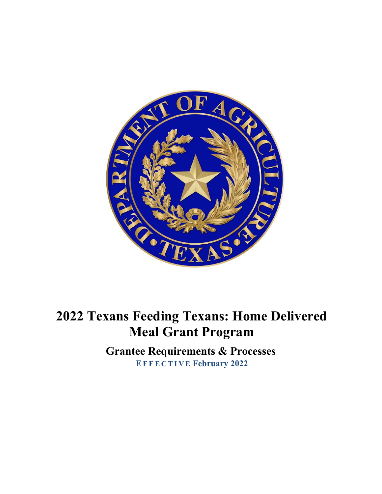

# **2022 Texans Feeding Texans: Home Delivered Meal Grant Program**

**Grantee Requirements & Processes EF F E C T I V E February 2022**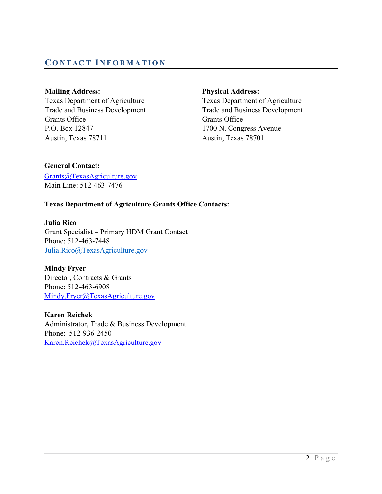# **CO N T AC T I N F O R M A T I O N**

Texas Department of Agriculture Texas Department of Agriculture Trade and Business Development Trade and Business Development Grants Office Grants Office P.O. Box 12847 1700 N. Congress Avenue Austin, Texas 78711 Austin, Texas 78701

#### **Mailing Address: Physical Address:**

### **General Contact:**

Grants@TexasAgriculture.gov Main Line: 512-463-7476

## **Texas Department of Agriculture Grants Office Contacts:**

**Julia Rico** Grant Specialist – Primary HDM Grant Contact Phone: 512-463-7448 [Julia.Rico@TexasAgriculture.gov](mailto:Julia.Rico@TexasAgriculture.gov)

**Mindy Fryer**  Director, Contracts & Grants Phone: 512-463-6908 Mindy.Fryer@TexasAgriculture.gov

**Karen Reichek**  Administrator, Trade & Business Development Phone: 512-936-2450 Karen.Reichek@TexasAgriculture.gov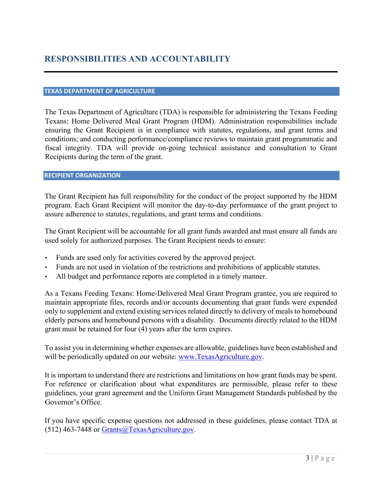#### **TEXAS DEPARTMENT OF AGRICULTURE**

The Texas Department of Agriculture (TDA) is responsible for administering the Texans Feeding Texans: Home Delivered Meal Grant Program (HDM). Administration responsibilities include ensuring the Grant Recipient is in compliance with statutes, regulations, and grant terms and conditions; and conducting performance/compliance reviews to maintain grant programmatic and fiscal integrity. TDA will provide on-going technical assistance and consultation to Grant Recipients during the term of the grant.

#### **RECIPIENT ORGANIZATION**

The Grant Recipient has full responsibility for the conduct of the project supported by the HDM program. Each Grant Recipient will monitor the day-to-day performance of the grant project to assure adherence to statutes, regulations, and grant terms and conditions.

The Grant Recipient will be accountable for all grant funds awarded and must ensure all funds are used solely for authorized purposes. The Grant Recipient needs to ensure:

- Funds are used only for activities covered by the approved project.
- Funds are not used in violation of the restrictions and prohibitions of applicable statutes.
- All budget and performance reports are completed in a timely manner.

As a Texans Feeding Texans: Home-Delivered Meal Grant Program grantee, you are required to maintain appropriate files, records and/or accounts documenting that grant funds were expended only to supplement and extend existing services related directly to delivery of meals to homebound elderly persons and homebound persons with a disability. Documents directly related to the HDM grant must be retained for four (4) years after the term expires.

To assist you in determining whether expenses are allowable, guidelines have been established and will be periodically updated on our website: www.TexasAgriculture.gov.

It is important to understand there are restrictions and limitations on how grant funds may be spent. For reference or clarification about what expenditures are permissible, please refer to these guidelines, your grant agreement and the Uniform Grant Management Standards published by the Governor's Office.

If you have specific expense questions not addressed in these guidelines, please contact TDA at (512) 463-7448 or Grants@TexasAgriculture.gov.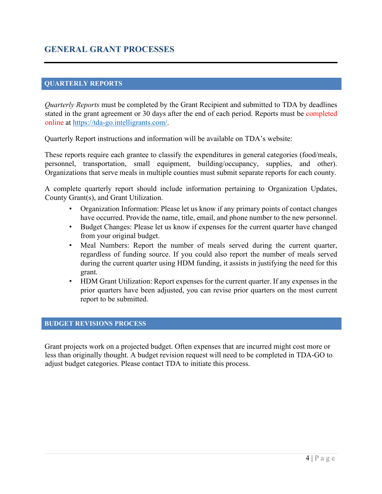# **GENERAL GRANT PROCESSES**

#### **QUARTERLY REPORTS**

*Quarterly Reports* must be completed by the Grant Recipient and submitted to TDA by deadlines stated in the grant agreement or 30 days after the end of each period. Reports must be completed online at [https://tda-go.intelligrants.com/.](https://tda-go.intelligrants.com/)

Quarterly Report instructions and information will be available on TDA's website:

These reports require each grantee to classify the expenditures in general categories (food/meals, personnel, transportation, small equipment, building/occupancy, supplies, and other). Organizations that serve meals in multiple counties must submit separate reports for each county.

A complete quarterly report should include information pertaining to Organization Updates, County Grant(s), and Grant Utilization.

- Organization Information: Please let us know if any primary points of contact changes have occurred. Provide the name, title, email, and phone number to the new personnel.
- Budget Changes: Please let us know if expenses for the current quarter have changed from your original budget.
- Meal Numbers: Report the number of meals served during the current quarter, regardless of funding source. If you could also report the number of meals served during the current quarter using HDM funding, it assists in justifying the need for this grant.
- HDM Grant Utilization: Report expenses for the current quarter. If any expenses in the prior quarters have been adjusted, you can revise prior quarters on the most current report to be submitted.

#### **BUDGET REVISIONS PROCESS**

Grant projects work on a projected budget. Often expenses that are incurred might cost more or less than originally thought. A budget revision request will need to be completed in TDA-GO to adjust budget categories. Please contact TDA to initiate this process.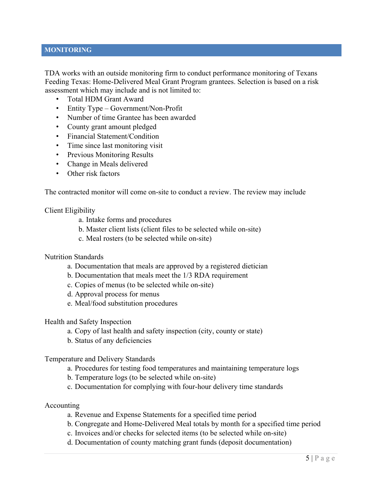#### **MONITORING**

TDA works with an outside monitoring firm to conduct performance monitoring of Texans Feeding Texas: Home-Delivered Meal Grant Program grantees. Selection is based on a risk assessment which may include and is not limited to:

- Total HDM Grant Award
- Entity Type Government/Non-Profit
- Number of time Grantee has been awarded
- County grant amount pledged
- Financial Statement/Condition
- Time since last monitoring visit
- Previous Monitoring Results
- Change in Meals delivered
- Other risk factors

The contracted monitor will come on-site to conduct a review. The review may include

#### Client Eligibility

- a. Intake forms and procedures
- b. Master client lists (client files to be selected while on-site)
- c. Meal rosters (to be selected while on-site)

#### Nutrition Standards

- a. Documentation that meals are approved by a registered dietician
- b. Documentation that meals meet the 1/3 RDA requirement
- c. Copies of menus (to be selected while on-site)
- d. Approval process for menus
- e. Meal/food substitution procedures

#### Health and Safety Inspection

- a. Copy of last health and safety inspection (city, county or state)
- b. Status of any deficiencies

#### Temperature and Delivery Standards

- a. Procedures for testing food temperatures and maintaining temperature logs
- b. Temperature logs (to be selected while on-site)
- c. Documentation for complying with four-hour delivery time standards

#### Accounting

- a. Revenue and Expense Statements for a specified time period
- b. Congregate and Home-Delivered Meal totals by month for a specified time period
- c. Invoices and/or checks for selected items (to be selected while on-site)
- d. Documentation of county matching grant funds (deposit documentation)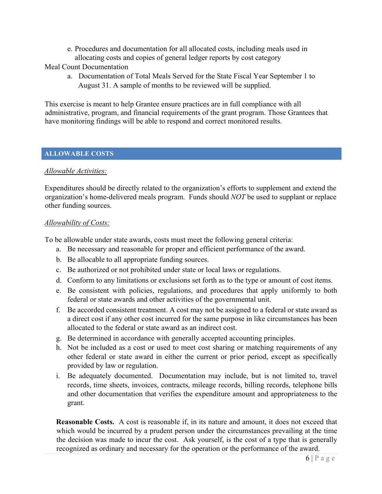e. Procedures and documentation for all allocated costs, including meals used in allocating costs and copies of general ledger reports by cost category

Meal Count Documentation

a. Documentation of Total Meals Served for the State Fiscal Year September 1 to August 31. A sample of months to be reviewed will be supplied.

This exercise is meant to help Grantee ensure practices are in full compliance with all administrative, program, and financial requirements of the grant program. Those Grantees that have monitoring findings will be able to respond and correct monitored results.

#### **ALLOWABLE COSTS**

#### *Allowable Activities:*

Expenditures should be directly related to the organization's efforts to supplement and extend the organization's home-delivered meals program. Funds should *NOT* be used to supplant or replace other funding sources.

#### *Allowability of Costs:*

To be allowable under state awards, costs must meet the following general criteria:

- a. Be necessary and reasonable for proper and efficient performance of the award.
- b. Be allocable to all appropriate funding sources.
- c. Be authorized or not prohibited under state or local laws or regulations.
- d. Conform to any limitations or exclusions set forth as to the type or amount of cost items.
- e. Be consistent with policies, regulations, and procedures that apply uniformly to both federal or state awards and other activities of the governmental unit.
- f. Be accorded consistent treatment. A cost may not be assigned to a federal or state award as a direct cost if any other cost incurred for the same purpose in like circumstances has been allocated to the federal or state award as an indirect cost.
- g. Be determined in accordance with generally accepted accounting principles.
- h. Not be included as a cost or used to meet cost sharing or matching requirements of any other federal or state award in either the current or prior period, except as specifically provided by law or regulation.
- i. Be adequately documented. Documentation may include, but is not limited to, travel records, time sheets, invoices, contracts, mileage records, billing records, telephone bills and other documentation that verifies the expenditure amount and appropriateness to the grant.

**Reasonable Costs.** A cost is reasonable if, in its nature and amount, it does not exceed that which would be incurred by a prudent person under the circumstances prevailing at the time the decision was made to incur the cost. Ask yourself, is the cost of a type that is generally recognized as ordinary and necessary for the operation or the performance of the award.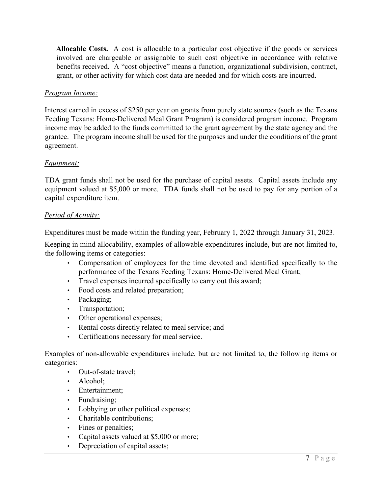**Allocable Costs.** A cost is allocable to a particular cost objective if the goods or services involved are chargeable or assignable to such cost objective in accordance with relative benefits received. A "cost objective" means a function, organizational subdivision, contract, grant, or other activity for which cost data are needed and for which costs are incurred.

#### *Program Income:*

Interest earned in excess of \$250 per year on grants from purely state sources (such as the Texans Feeding Texans: Home-Delivered Meal Grant Program) is considered program income. Program income may be added to the funds committed to the grant agreement by the state agency and the grantee. The program income shall be used for the purposes and under the conditions of the grant agreement.

#### *Equipment:*

TDA grant funds shall not be used for the purchase of capital assets. Capital assets include any equipment valued at \$5,000 or more. TDA funds shall not be used to pay for any portion of a capital expenditure item.

#### *Period of Activity:*

Expenditures must be made within the funding year, February 1, 2022 through January 31, 2023.

Keeping in mind allocability, examples of allowable expenditures include, but are not limited to, the following items or categories:

- Compensation of employees for the time devoted and identified specifically to the performance of the Texans Feeding Texans: Home-Delivered Meal Grant;
- Travel expenses incurred specifically to carry out this award;
- Food costs and related preparation;
- Packaging;
- Transportation;
- Other operational expenses;
- Rental costs directly related to meal service; and
- Certifications necessary for meal service.

Examples of non-allowable expenditures include, but are not limited to, the following items or categories:

- Out-of-state travel;
- Alcohol:
- Entertainment;
- Fundraising;
- Lobbying or other political expenses;
- Charitable contributions;
- Fines or penalties;
- Capital assets valued at \$5,000 or more;
- Depreciation of capital assets;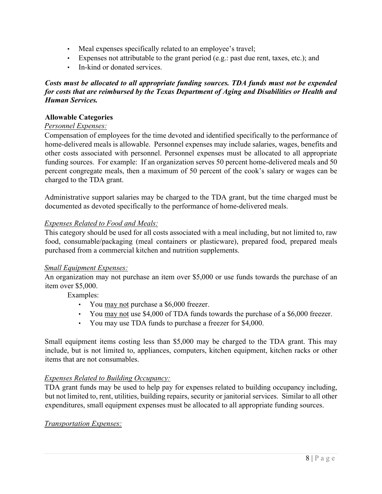- Meal expenses specifically related to an employee's travel;
- Expenses not attributable to the grant period (e.g.: past due rent, taxes, etc.); and
- In-kind or donated services.

#### *Costs must be allocated to all appropriate funding sources. TDA funds must not be expended for costs that are reimbursed by the Texas Department of Aging and Disabilities or Health and Human Services.*

#### **Allowable Categories**

#### *Personnel Expenses:*

Compensation of employees for the time devoted and identified specifically to the performance of home-delivered meals is allowable. Personnel expenses may include salaries, wages, benefits and other costs associated with personnel. Personnel expenses must be allocated to all appropriate funding sources. For example: If an organization serves 50 percent home-delivered meals and 50 percent congregate meals, then a maximum of 50 percent of the cook's salary or wages can be charged to the TDA grant.

Administrative support salaries may be charged to the TDA grant, but the time charged must be documented as devoted specifically to the performance of home-delivered meals.

#### *Expenses Related to Food and Meals:*

This category should be used for all costs associated with a meal including, but not limited to, raw food, consumable/packaging (meal containers or plasticware), prepared food, prepared meals purchased from a commercial kitchen and nutrition supplements.

#### *Small Equipment Expenses:*

An organization may not purchase an item over \$5,000 or use funds towards the purchase of an item over \$5,000.

Examples:

- You may not purchase a \$6,000 freezer.
- You may not use \$4,000 of TDA funds towards the purchase of a \$6,000 freezer.
- You may use TDA funds to purchase a freezer for \$4,000.

Small equipment items costing less than \$5,000 may be charged to the TDA grant. This may include, but is not limited to, appliances, computers, kitchen equipment, kitchen racks or other items that are not consumables.

#### *Expenses Related to Building Occupancy:*

TDA grant funds may be used to help pay for expenses related to building occupancy including, but not limited to, rent, utilities, building repairs, security or janitorial services. Similar to all other expenditures, small equipment expenses must be allocated to all appropriate funding sources.

#### *Transportation Expenses:*